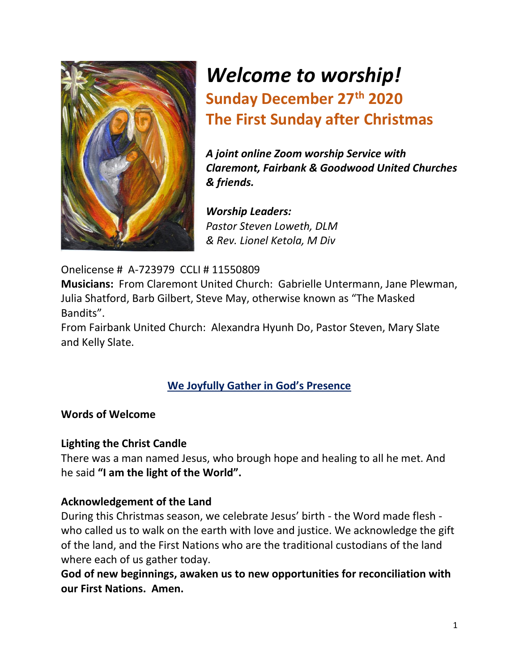

# *Welcome to worship!* **Sunday December 27 th 2020 The First Sunday after Christmas**

*A joint online Zoom worship Service with Claremont, Fairbank & Goodwood United Churches & friends.*

*Worship Leaders: Pastor Steven Loweth, DLM & Rev. Lionel Ketola, M Div*

# Onelicense # A-723979 CCLI # 11550809

**Musicians:** From Claremont United Church: Gabrielle Untermann, Jane Plewman, Julia Shatford, Barb Gilbert, Steve May, otherwise known as "The Masked Bandits".

From Fairbank United Church: Alexandra Hyunh Do, Pastor Steven, Mary Slate and Kelly Slate.

# **We Joyfully Gather in God's Presence**

# **Words of Welcome**

# **Lighting the Christ Candle**

There was a man named Jesus, who brough hope and healing to all he met. And he said **"I am the light of the World".**

#### **Acknowledgement of the Land**

During this Christmas season, we celebrate Jesus' birth - the Word made flesh who called us to walk on the earth with love and justice. We acknowledge the gift of the land, and the First Nations who are the traditional custodians of the land where each of us gather today.

**God of new beginnings, awaken us to new opportunities for reconciliation with our First Nations. Amen.**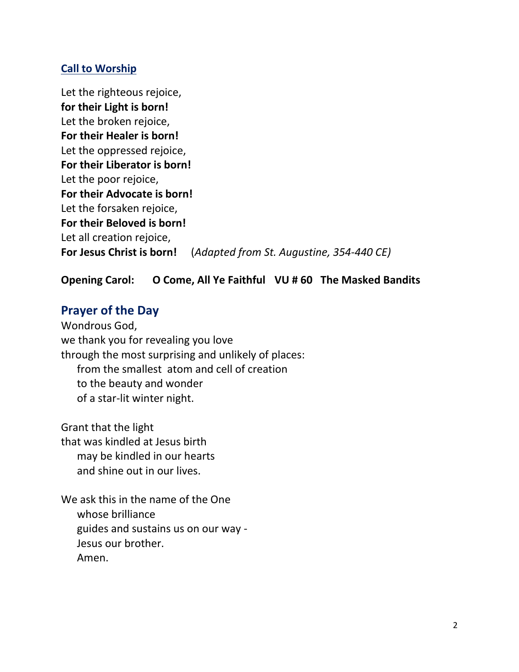# **Call to Worship**

Let the righteous rejoice, **for their Light is born!** Let the broken rejoice, **For their Healer is born!** Let the oppressed rejoice, **For their Liberator is born!** Let the poor rejoice, **For their Advocate is born!**  Let the forsaken rejoice, **For their Beloved is born!** Let all creation rejoice, **For Jesus Christ is born!** (*Adapted from St. Augustine, 354-440 CE)* 

# **Opening Carol: O Come, All Ye Faithful VU # 60 The Masked Bandits**

# **Prayer of the Day**

Wondrous God, we thank you for revealing you love through the most surprising and unlikely of places: from the smallest atom and cell of creation to the beauty and wonder of a star-lit winter night.

Grant that the light that was kindled at Jesus birth may be kindled in our hearts and shine out in our lives.

We ask this in the name of the One whose brilliance guides and sustains us on our way - Jesus our brother. Amen.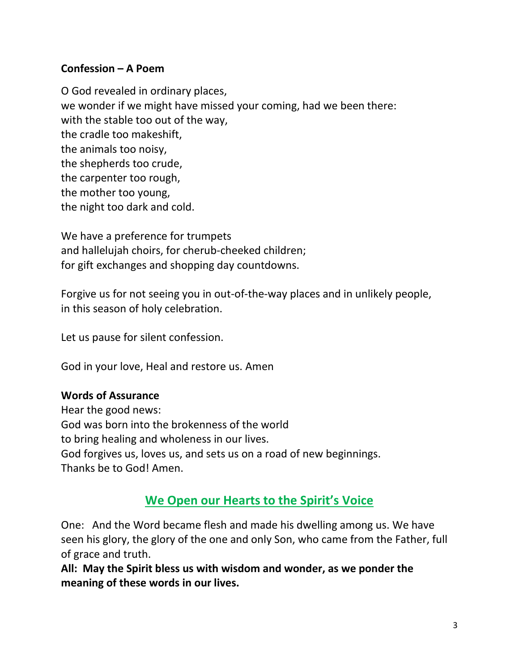# **Confession – A Poem**

O God revealed in ordinary places, we wonder if we might have missed your coming, had we been there: with the stable too out of the way, the cradle too makeshift, the animals too noisy, the shepherds too crude, the carpenter too rough, the mother too young, the night too dark and cold.

We have a preference for trumpets and hallelujah choirs, for cherub-cheeked children; for gift exchanges and shopping day countdowns.

Forgive us for not seeing you in out-of-the-way places and in unlikely people, in this season of holy celebration.

Let us pause for silent confession.

God in your love, Heal and restore us. Amen

# **Words of Assurance**

Hear the good news: God was born into the brokenness of the world to bring healing and wholeness in our lives. God forgives us, loves us, and sets us on a road of new beginnings. Thanks be to God! Amen.

# **We Open our Hearts to the Spirit's Voice**

One: And the Word became flesh and made his dwelling among us. We have seen his glory, the glory of the one and only Son, who came from the Father, full of grace and truth.

**All: May the Spirit bless us with wisdom and wonder, as we ponder the meaning of these words in our lives.**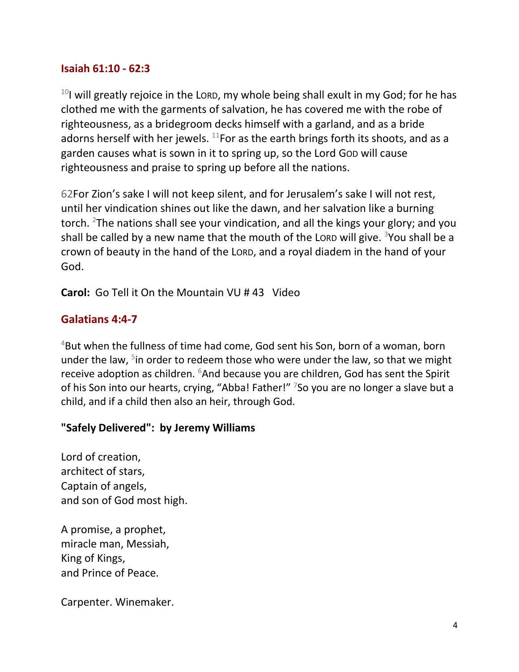#### **Isaiah 61:10 - 62:3**

 $10$ I will greatly rejoice in the LORD, my whole being shall exult in my God; for he has clothed me with the garments of salvation, he has covered me with the robe of righteousness, as a bridegroom decks himself with a garland, and as a bride adorns herself with her jewels.  $^{11}$ For as the earth brings forth its shoots, and as a garden causes what is sown in it to spring up, so the Lord GOD will cause righteousness and praise to spring up before all the nations.

62For Zion's sake I will not keep silent, and for Jerusalem's sake I will not rest, until her vindication shines out like the dawn, and her salvation like a burning torch. <sup>2</sup>The nations shall see your vindication, and all the kings your glory; and you shall be called by a new name that the mouth of the LORD will give.  $3$ You shall be a crown of beauty in the hand of the LORD, and a royal diadem in the hand of your God.

**Carol:** Go Tell it On the Mountain VU # 43 Video

# **Galatians 4:4-7**

<sup>4</sup>But when the fullness of time had come, God sent his Son, born of a woman, born under the law, <sup>5</sup>in order to redeem those who were under the law, so that we might receive adoption as children.  $6$ And because you are children, God has sent the Spirit of his Son into our hearts, crying, "Abba! Father!" <sup>7</sup>So you are no longer a slave but a child, and if a child then also an heir, through God.

# **"Safely Delivered": by Jeremy Williams**

Lord of creation, architect of stars, Captain of angels, and son of God most high.

A promise, a prophet, miracle man, Messiah, King of Kings, and Prince of Peace.

Carpenter. Winemaker.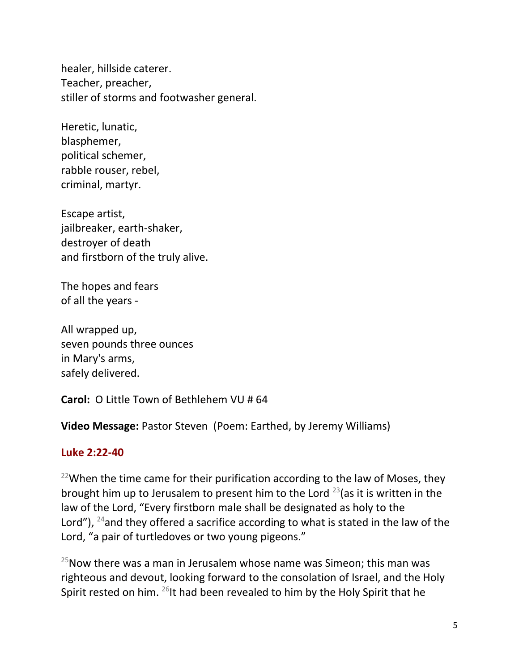healer, hillside caterer. Teacher, preacher, stiller of storms and footwasher general.

Heretic, lunatic, blasphemer, political schemer, rabble rouser, rebel, criminal, martyr.

Escape artist, jailbreaker, earth-shaker, destroyer of death and firstborn of the truly alive.

The hopes and fears of all the years -

All wrapped up, seven pounds three ounces in Mary's arms, safely delivered.

**Carol:** O Little Town of Bethlehem VU # 64

**Video Message: Pastor Steven (Poem: Earthed, by Jeremy Williams)** 

# **Luke 2:22-40**

 $22$ When the time came for their purification according to the law of Moses, they brought him up to Jerusalem to present him to the Lord  $^{23}$ (as it is written in the law of the Lord, "Every firstborn male shall be designated as holy to the Lord"),  $^{24}$  and they offered a sacrifice according to what is stated in the law of the Lord, "a pair of turtledoves or two young pigeons."

 $25$ Now there was a man in Jerusalem whose name was Simeon; this man was righteous and devout, looking forward to the consolation of Israel, and the Holy Spirit rested on him.  $^{26}$ It had been revealed to him by the Holy Spirit that he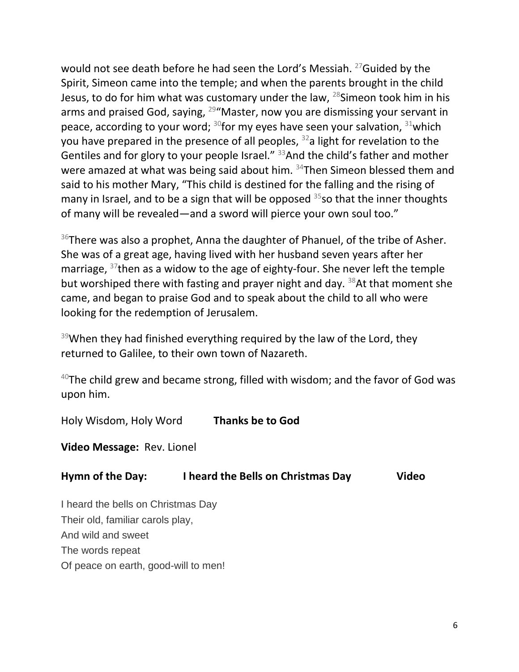would not see death before he had seen the Lord's Messiah. <sup>27</sup>Guided by the Spirit, Simeon came into the temple; and when the parents brought in the child Jesus, to do for him what was customary under the law,  $^{28}$ Simeon took him in his arms and praised God, saying,  $29''$ Master, now you are dismissing your servant in peace, according to your word;  $30$  for my eyes have seen your salvation,  $31$  which you have prepared in the presence of all peoples,  $32a$  light for revelation to the Gentiles and for glory to your people Israel." <sup>33</sup>And the child's father and mother were amazed at what was being said about him.  $34$ Then Simeon blessed them and said to his mother Mary, "This child is destined for the falling and the rising of many in Israel, and to be a sign that will be opposed  $35$  so that the inner thoughts of many will be revealed—and a sword will pierce your own soul too."

 $36$ There was also a prophet, Anna the daughter of Phanuel, of the tribe of Asher. She was of a great age, having lived with her husband seven years after her marriage, <sup>37</sup>then as a widow to the age of eighty-four. She never left the temple but worshiped there with fasting and prayer night and day. <sup>38</sup>At that moment she came, and began to praise God and to speak about the child to all who were looking for the redemption of Jerusalem.

 $39$ When they had finished everything required by the law of the Lord, they returned to Galilee, to their own town of Nazareth.

 $40$ The child grew and became strong, filled with wisdom; and the favor of God was upon him.

Holy Wisdom, Holy Word **Thanks be to God** 

**Video Message:** Rev. Lionel

# **Hymn of the Day: I heard the Bells on Christmas Day Video**

I heard the bells on Christmas Day Their old, familiar carols play, And wild and sweet The words repeat Of peace on earth, good-will to men!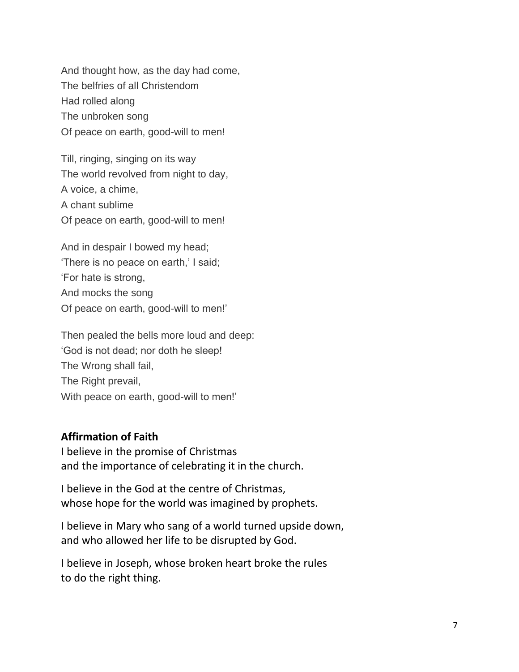And thought how, as the day had come, The belfries of all Christendom Had rolled along The unbroken song Of peace on earth, good-will to men!

Till, ringing, singing on its way The world revolved from night to day, A voice, a chime, A chant sublime Of peace on earth, good-will to men!

And in despair I bowed my head; 'There is no peace on earth,' I said; 'For hate is strong, And mocks the song Of peace on earth, good-will to men!'

Then pealed the bells more loud and deep: 'God is not dead; nor doth he sleep! The Wrong shall fail, The Right prevail, With peace on earth, good-will to men!'

#### **Affirmation of Faith**

I believe in the promise of Christmas and the importance of celebrating it in the church.

I believe in the God at the centre of Christmas, whose hope for the world was imagined by prophets.

I believe in Mary who sang of a world turned upside down, and who allowed her life to be disrupted by God.

I believe in Joseph, whose broken heart broke the rules to do the right thing.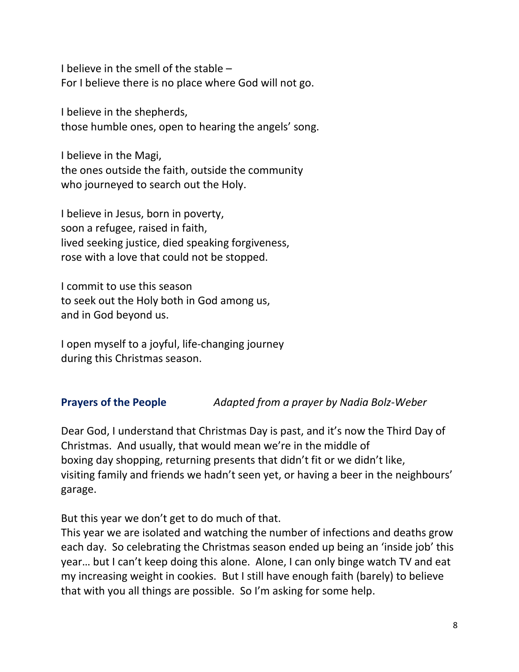I believe in the smell of the stable – For I believe there is no place where God will not go.

I believe in the shepherds, those humble ones, open to hearing the angels' song.

I believe in the Magi, the ones outside the faith, outside the community who journeyed to search out the Holy.

I believe in Jesus, born in poverty, soon a refugee, raised in faith, lived seeking justice, died speaking forgiveness, rose with a love that could not be stopped.

I commit to use this season to seek out the Holy both in God among us, and in God beyond us.

I open myself to a joyful, life-changing journey during this Christmas season.

# **Prayers of the People** *Adapted from a prayer by Nadia Bolz-Weber*

Dear God, I understand that Christmas Day is past, and it's now the Third Day of Christmas. And usually, that would mean we're in the middle of boxing day shopping, returning presents that didn't fit or we didn't like, visiting family and friends we hadn't seen yet, or having a beer in the neighbours' garage.

But this year we don't get to do much of that.

This year we are isolated and watching the number of infections and deaths grow each day. So celebrating the Christmas season ended up being an 'inside job' this year… but I can't keep doing this alone. Alone, I can only binge watch TV and eat my increasing weight in cookies. But I still have enough faith (barely) to believe that with you all things are possible. So I'm asking for some help.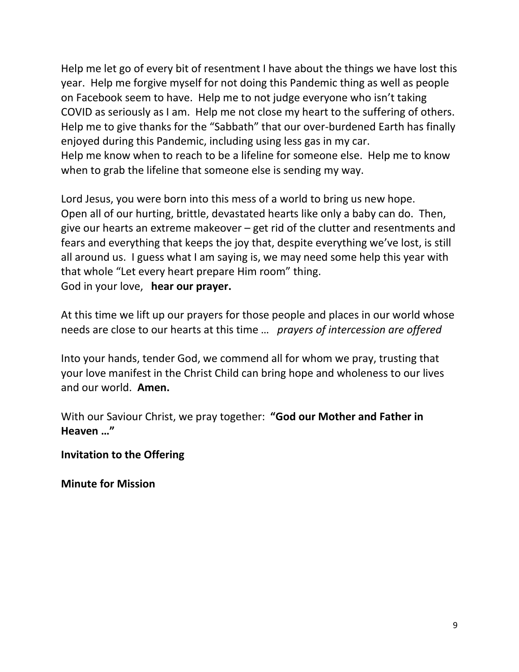Help me let go of every bit of resentment I have about the things we have lost this year. Help me forgive myself for not doing this Pandemic thing as well as people on Facebook seem to have. Help me to not judge everyone who isn't taking COVID as seriously as I am. Help me not close my heart to the suffering of others. Help me to give thanks for the "Sabbath" that our over-burdened Earth has finally enjoyed during this Pandemic, including using less gas in my car. Help me know when to reach to be a lifeline for someone else. Help me to know when to grab the lifeline that someone else is sending my way.

Lord Jesus, you were born into this mess of a world to bring us new hope. Open all of our hurting, brittle, devastated hearts like only a baby can do. Then, give our hearts an extreme makeover – get rid of the clutter and resentments and fears and everything that keeps the joy that, despite everything we've lost, is still all around us. I guess what I am saying is, we may need some help this year with that whole "Let every heart prepare Him room" thing. God in your love, **hear our prayer.** 

At this time we lift up our prayers for those people and places in our world whose needs are close to our hearts at this time … *prayers of intercession are offered*

Into your hands, tender God, we commend all for whom we pray, trusting that your love manifest in the Christ Child can bring hope and wholeness to our lives and our world. **Amen.** 

With our Saviour Christ, we pray together: **"God our Mother and Father in Heaven …"** 

**Invitation to the Offering** 

**Minute for Mission**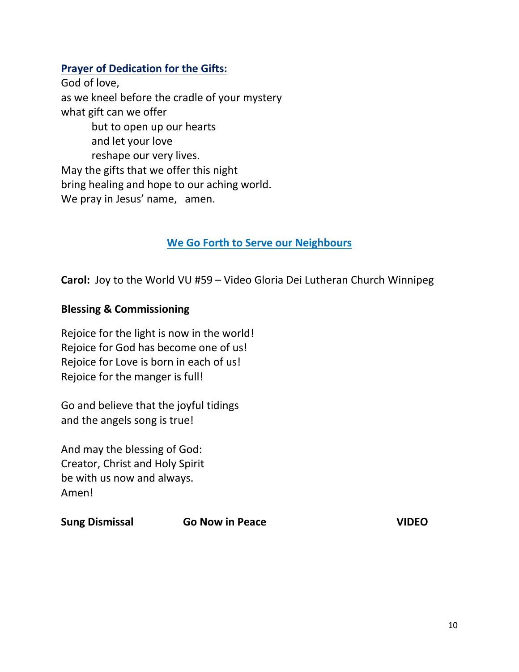# **Prayer of Dedication for the Gifts:**

God of love, as we kneel before the cradle of your mystery what gift can we offer but to open up our hearts and let your love reshape our very lives. May the gifts that we offer this night bring healing and hope to our aching world. We pray in Jesus' name, amen.

# **We Go Forth to Serve our Neighbours**

**Carol:** Joy to the World VU #59 – Video Gloria Dei Lutheran Church Winnipeg

#### **Blessing & Commissioning**

Rejoice for the light is now in the world! Rejoice for God has become one of us! Rejoice for Love is born in each of us! Rejoice for the manger is full!

Go and believe that the joyful tidings and the angels song is true!

And may the blessing of God: Creator, Christ and Holy Spirit be with us now and always. Amen!

| <b>Sung Dismissal</b> | <b>Go Now in Peace</b> | <b>VIDEO</b> |
|-----------------------|------------------------|--------------|
|                       |                        |              |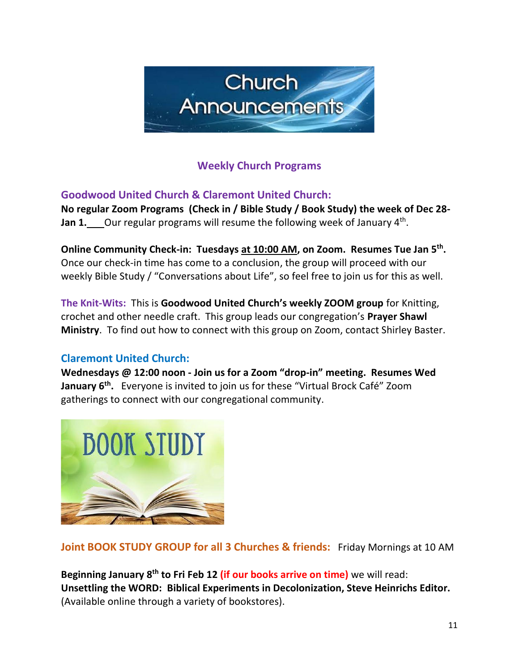

# **Weekly Church Programs**

**Goodwood United Church & Claremont United Church:** 

**No regular Zoom Programs (Check in / Bible Study / Book Study) the week of Dec 28- Jan 1.** Our regular programs will resume the following week of January 4<sup>th</sup>.

**Online Community Check-in: Tuesdays at 10:00 AM, on Zoom. Resumes Tue Jan 5th .**  Once our check-in time has come to a conclusion, the group will proceed with our weekly Bible Study / "Conversations about Life", so feel free to join us for this as well.

**The Knit-Wits:** This is **Goodwood United Church's weekly ZOOM group** for Knitting, crochet and other needle craft. This group leads our congregation's **Prayer Shawl Ministry**. To find out how to connect with this group on Zoom, contact Shirley Baster.

# **Claremont United Church:**

**Wednesdays @ 12:00 noon - Join us for a Zoom "drop-in" meeting. Resumes Wed January 6 th .** Everyone is invited to join us for these "Virtual Brock Café" Zoom gatherings to connect with our congregational community.



**Joint BOOK STUDY GROUP for all 3 Churches & friends:** Friday Mornings at 10 AM

**Beginning January 8 th to Fri Feb 12 (if our books arrive on time)** we will read: **Unsettling the WORD: Biblical Experiments in Decolonization, Steve Heinrichs Editor.**  (Available online through a variety of bookstores).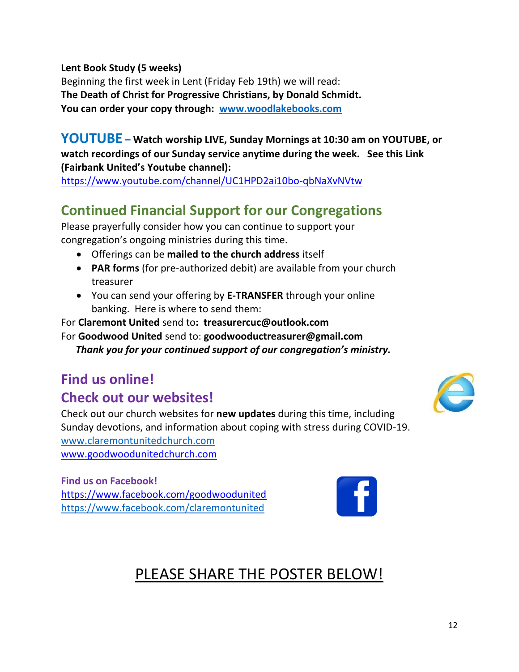**Lent Book Study (5 weeks)**

Beginning the first week in Lent (Friday Feb 19th) we will read: **The Death of Christ for Progressive Christians, by Donald Schmidt. You can order your copy through: [www.woodlakebooks.com](http://www.woodlakebooks.com/)**

#### **YOUTUBE – Watch worship LIVE, Sunday Mornings at 10:30 am on YOUTUBE, or watch recordings of our Sunday service anytime during the week. See this Link (Fairbank United's Youtube channel):**

[https://www.youtube.com/channel/UC1HPD2ai10bo-qbNaXvNVtw](about:blank)

# **Continued Financial Support for our Congregations**

Please prayerfully consider how you can continue to support your congregation's ongoing ministries during this time.

- Offerings can be **mailed to the church address** itself
- **PAR forms** (for pre-authorized debit) are available from your church treasurer
- You can send your offering by **E-TRANSFER** through your online banking. Here is where to send them:

For **Claremont United** send to**: treasurercuc@outlook.com** For **Goodwood United** send to: **[goodwooductreasurer@gmail.com](about:blank)** *Thank you for your continued support of our congregation's ministry.*

# **Find us online!**

# **Check out our websites!**

Check out our church websites for **new updates** during this time, including Sunday devotions, and information about coping with stress during COVID-19. [www.claremontunitedchurch.com](about:blank) [www.goodwoodunitedchurch.com](about:blank)

**Find us on Facebook!**  [https://www.facebook.com/goodwoodunited](about:blank) [https://www.facebook.com/claremontunited](about:blank)



# PLEASE SHARE THE POSTER BELOW!